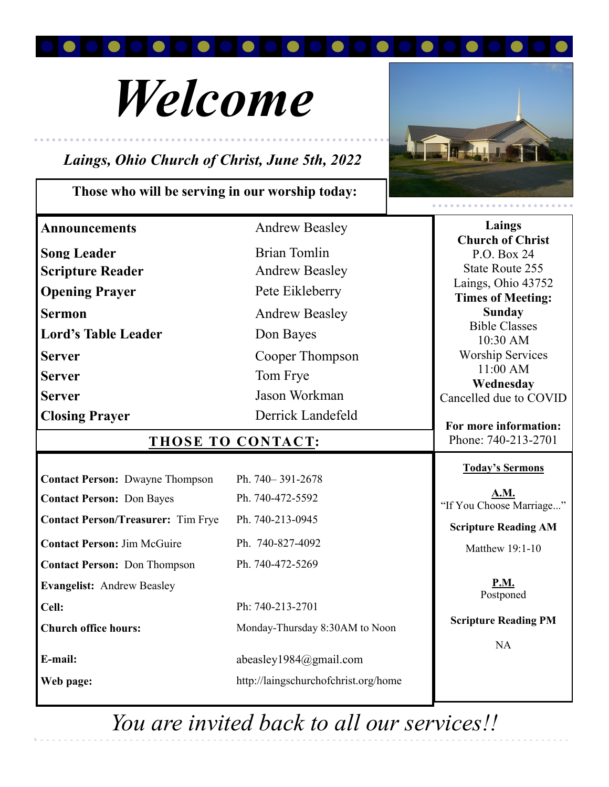

# *Welcome*

# *Laings, Ohio Church of Christ, June 5th, 2022*

## **Those who will be serving in our worship today:**



| <b>Announcements</b>                      | <b>Andrew Beasley</b>                | Laings<br><b>Church of Christ</b>            |
|-------------------------------------------|--------------------------------------|----------------------------------------------|
| <b>Song Leader</b>                        | <b>Brian Tomlin</b>                  | P.O. Box 24                                  |
| <b>Scripture Reader</b>                   | <b>Andrew Beasley</b>                | <b>State Route 255</b>                       |
| <b>Opening Prayer</b>                     | Pete Eikleberry                      | Laings, Ohio 43752                           |
| <b>Sermon</b>                             | <b>Andrew Beasley</b>                | <b>Times of Meeting:</b><br><b>Sunday</b>    |
| <b>Lord's Table Leader</b>                | Don Bayes                            | <b>Bible Classes</b>                         |
| <b>Server</b>                             | Cooper Thompson                      | 10:30 AM<br><b>Worship Services</b>          |
| <b>Server</b>                             | Tom Frye                             | 11:00 AM                                     |
| <b>Server</b>                             | Jason Workman                        | Wednesday<br>Cancelled due to COVID          |
| <b>Closing Prayer</b>                     | Derrick Landefeld                    |                                              |
| THOSE TO CONTACT:                         |                                      | For more information:<br>Phone: 740-213-2701 |
| <b>Contact Person: Dwayne Thompson</b>    | Ph. 740-391-2678                     | <b>Today's Sermons</b>                       |
| <b>Contact Person: Don Bayes</b>          | Ph. 740-472-5592                     | A.M.                                         |
|                                           |                                      | "If You Choose Marriage"                     |
| <b>Contact Person/Treasurer:</b> Tim Frye | Ph. 740-213-0945                     | <b>Scripture Reading AM</b>                  |
| <b>Contact Person: Jim McGuire</b>        | Ph. 740-827-4092                     | Matthew 19:1-10                              |
| <b>Contact Person: Don Thompson</b>       | Ph. 740-472-5269                     |                                              |
| <b>Evangelist: Andrew Beasley</b>         |                                      | <b>P.M.</b><br>Postponed                     |
| Cell:                                     | Ph: 740-213-2701                     |                                              |
| <b>Church office hours:</b>               | Monday-Thursday 8:30AM to Noon       | <b>Scripture Reading PM</b>                  |
|                                           |                                      | <b>NA</b>                                    |
| E-mail:                                   |                                      |                                              |
|                                           | abeasley1984@gmail.com               |                                              |
| Web page:                                 | http://laingschurchofchrist.org/home |                                              |

*You are invited back to all our services!!*